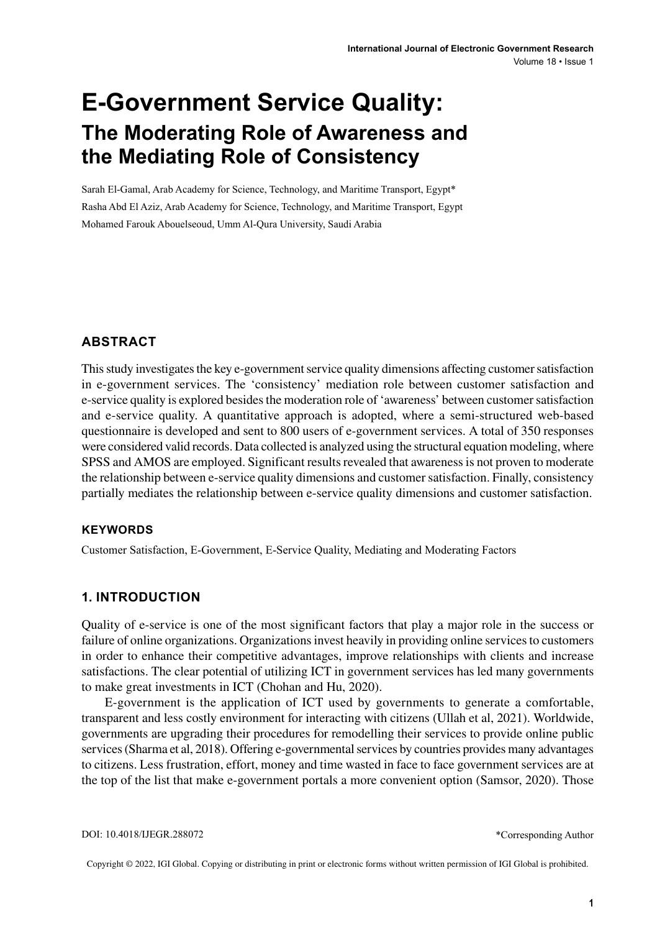# **E-Government Service Quality: The Moderating Role of Awareness and the Mediating Role of Consistency**

Sarah El-Gamal, Arab Academy for Science, Technology, and Maritime Transport, Egypt\* Rasha Abd El Aziz, Arab Academy for Science, Technology, and Maritime Transport, Egypt Mohamed Farouk Abouelseoud, Umm Al-Qura University, Saudi Arabia

### **ABSTRACT**

This study investigates the key e-government service quality dimensions affecting customer satisfaction in e-government services. The 'consistency' mediation role between customer satisfaction and e-service quality is explored besidesthe moderation role of 'awareness' between customersatisfaction and e-service quality. A quantitative approach is adopted, where a semi-structured web-based questionnaire is developed and sent to 800 users of e-government services. A total of 350 responses were considered valid records. Data collected is analyzed using the structural equation modeling, where SPSS and AMOS are employed. Significant results revealed that awareness is not proven to moderate the relationship between e-service quality dimensions and customersatisfaction. Finally, consistency partially mediates the relationship between e-service quality dimensions and customer satisfaction.

#### **Keywords**

Customer Satisfaction, E-Government, E-Service Quality, Mediating and Moderating Factors

#### **1. INTRODUCTION**

Quality of e-service is one of the most significant factors that play a major role in the success or failure of online organizations. Organizations invest heavily in providing online services to customers in order to enhance their competitive advantages, improve relationships with clients and increase satisfactions. The clear potential of utilizing ICT in government services has led many governments to make great investments in ICT (Chohan and Hu, 2020).

E-government is the application of ICT used by governments to generate a comfortable, transparent and less costly environment for interacting with citizens (Ullah et al, 2021). Worldwide, governments are upgrading their procedures for remodelling their services to provide online public services (Sharma et al, 2018). Offering e-governmental services by countries provides many advantages to citizens. Less frustration, effort, money and time wasted in face to face government services are at the top of the list that make e-government portals a more convenient option (Samsor, 2020). Those

Copyright © 2022, IGI Global. Copying or distributing in print or electronic forms without written permission of IGI Global is prohibited.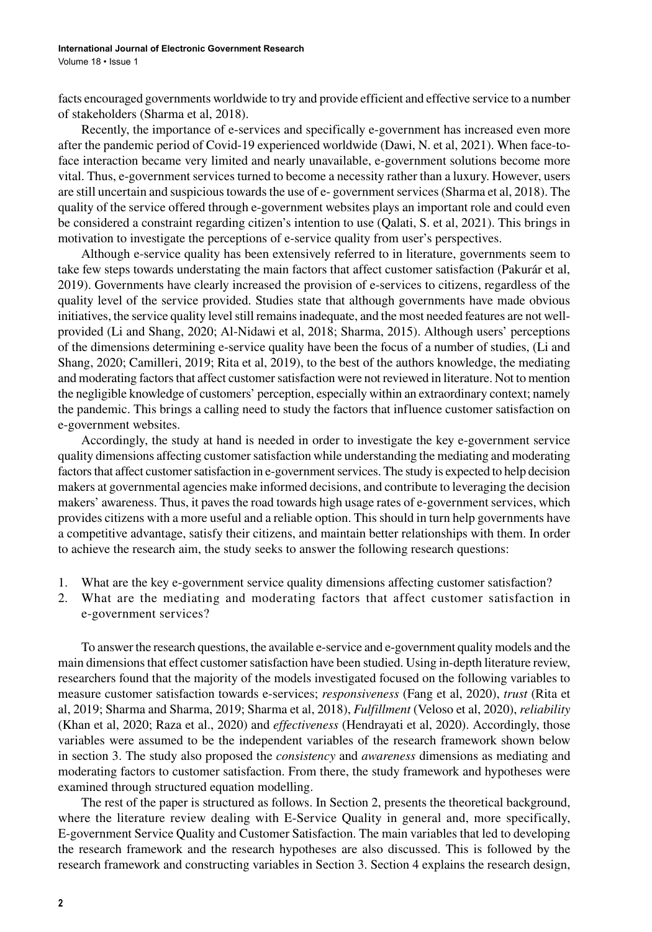facts encouraged governments worldwide to try and provide efficient and effective service to a number of stakeholders (Sharma et al, 2018).

Recently, the importance of e-services and specifically e-government has increased even more after the pandemic period of Covid-19 experienced worldwide (Dawi, N. et al, 2021). When face-toface interaction became very limited and nearly unavailable, e-government solutions become more vital. Thus, e-government services turned to become a necessity rather than a luxury. However, users are still uncertain and suspicious towards the use of e-government services (Sharma et al, 2018). The quality of the service offered through e-government websites plays an important role and could even be considered a constraint regarding citizen's intention to use (Qalati, S. et al, 2021). This brings in motivation to investigate the perceptions of e-service quality from user's perspectives.

Although e-service quality has been extensively referred to in literature, governments seem to take few steps towards understating the main factors that affect customer satisfaction (Pakurár et al, 2019). Governments have clearly increased the provision of e-services to citizens, regardless of the quality level of the service provided. Studies state that although governments have made obvious initiatives, the service quality level still remains inadequate, and the most needed features are not wellprovided (Li and Shang, 2020; Al-Nidawi et al, 2018; Sharma, 2015). Although users' perceptions of the dimensions determining e-service quality have been the focus of a number of studies, (Li and Shang, 2020; Camilleri, 2019; Rita et al, 2019), to the best of the authors knowledge, the mediating and moderating factors that affect customer satisfaction were not reviewed in literature. Not to mention the negligible knowledge of customers' perception, especially within an extraordinary context; namely the pandemic. This brings a calling need to study the factors that influence customer satisfaction on e-government websites.

Accordingly, the study at hand is needed in order to investigate the key e-government service quality dimensions affecting customersatisfaction while understanding the mediating and moderating factors that affect customer satisfaction in e-government services. The study is expected to help decision makers at governmental agencies make informed decisions, and contribute to leveraging the decision makers' awareness. Thus, it paves the road towards high usage rates of e-government services, which provides citizens with a more useful and a reliable option. This should in turn help governments have a competitive advantage, satisfy their citizens, and maintain better relationships with them. In order to achieve the research aim, the study seeks to answer the following research questions:

- 1. What are the key e-government service quality dimensions affecting customer satisfaction?
- 2. What are the mediating and moderating factors that affect customer satisfaction in e-government services?

To answer the research questions, the available e-service and e-government quality models and the main dimensions that effect customer satisfaction have been studied. Using in-depth literature review, researchers found that the majority of the models investigated focused on the following variables to measure customer satisfaction towards e-services; *responsiveness* (Fang et al, 2020), *trust* (Rita et al, 2019; Sharma and Sharma, 2019; Sharma et al, 2018), *Fulfillment* (Veloso et al, 2020), *reliability* (Khan et al, 2020; Raza et al., 2020) and *effectiveness* (Hendrayati et al, 2020). Accordingly, those variables were assumed to be the independent variables of the research framework shown below in section 3. The study also proposed the *consistency* and *awareness* dimensions as mediating and moderating factors to customer satisfaction. From there, the study framework and hypotheses were examined through structured equation modelling.

The rest of the paper is structured as follows. In Section 2, presents the theoretical background, where the literature review dealing with E-Service Quality in general and, more specifically, E-government Service Quality and Customer Satisfaction. The main variables that led to developing the research framework and the research hypotheses are also discussed. This is followed by the research framework and constructing variables in Section 3. Section 4 explains the research design,